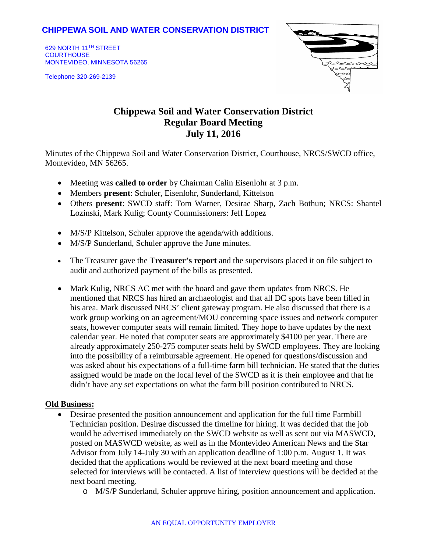# **CHIPPEWA SOIL AND WATER CONSERVATION DISTRICT**

629 NORTH 11TH STREET **COURTHOUSE** MONTEVIDEO, MINNESOTA 56265

Telephone 320-269-2139



# **Chippewa Soil and Water Conservation District Regular Board Meeting July 11, 2016**

Minutes of the Chippewa Soil and Water Conservation District, Courthouse, NRCS/SWCD office, Montevideo, MN 56265.

- Meeting was **called to order** by Chairman Calin Eisenlohr at 3 p.m.
- Members **present**: Schuler, Eisenlohr, Sunderland, Kittelson
- Others **present**: SWCD staff: Tom Warner, Desirae Sharp, Zach Bothun; NRCS: Shantel Lozinski, Mark Kulig; County Commissioners: Jeff Lopez
- M/S/P Kittelson, Schuler approve the agenda/with additions.
- M/S/P Sunderland, Schuler approve the June minutes.
- The Treasurer gave the **Treasurer's report** and the supervisors placed it on file subject to audit and authorized payment of the bills as presented.
- Mark Kulig, NRCS AC met with the board and gave them updates from NRCS. He mentioned that NRCS has hired an archaeologist and that all DC spots have been filled in his area. Mark discussed NRCS' client gateway program. He also discussed that there is a work group working on an agreement/MOU concerning space issues and network computer seats, however computer seats will remain limited. They hope to have updates by the next calendar year. He noted that computer seats are approximately \$4100 per year. There are already approximately 250-275 computer seats held by SWCD employees. They are looking into the possibility of a reimbursable agreement. He opened for questions/discussion and was asked about his expectations of a full-time farm bill technician. He stated that the duties assigned would be made on the local level of the SWCD as it is their employee and that he didn't have any set expectations on what the farm bill position contributed to NRCS.

## **Old Business:**

- Desirae presented the position announcement and application for the full time Farmbill Technician position. Desirae discussed the timeline for hiring. It was decided that the job would be advertised immediately on the SWCD website as well as sent out via MASWCD, posted on MASWCD website, as well as in the Montevideo American News and the Star Advisor from July 14-July 30 with an application deadline of 1:00 p.m. August 1. It was decided that the applications would be reviewed at the next board meeting and those selected for interviews will be contacted. A list of interview questions will be decided at the next board meeting.
	- o M/S/P Sunderland, Schuler approve hiring, position announcement and application.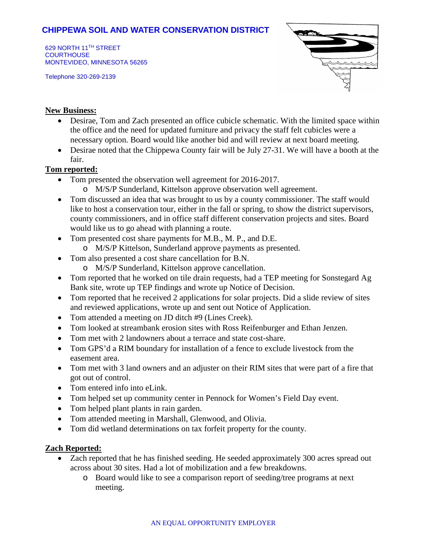# **CHIPPEWA SOIL AND WATER CONSERVATION DISTRICT**

629 NORTH 11TH STREET **COURTHOUSE** MONTEVIDEO, MINNESOTA 56265

Telephone 320-269-2139



#### **New Business:**

- Desirae, Tom and Zach presented an office cubicle schematic. With the limited space within the office and the need for updated furniture and privacy the staff felt cubicles were a necessary option. Board would like another bid and will review at next board meeting.
- Desirae noted that the Chippewa County fair will be July 27-31. We will have a booth at the fair.

#### **Tom reported:**

- Tom presented the observation well agreement for 2016-2017.
	- o M/S/P Sunderland, Kittelson approve observation well agreement.
- Tom discussed an idea that was brought to us by a county commissioner. The staff would like to host a conservation tour, either in the fall or spring, to show the district supervisors, county commissioners, and in office staff different conservation projects and sites. Board would like us to go ahead with planning a route.
- Tom presented cost share payments for M.B., M. P., and D.E.
	- o M/S/P Kittelson, Sunderland approve payments as presented.
- Tom also presented a cost share cancellation for B.N.
	- o M/S/P Sunderland, Kittelson approve cancellation.
- Tom reported that he worked on tile drain requests, had a TEP meeting for Sonstegard Ag Bank site, wrote up TEP findings and wrote up Notice of Decision.
- Tom reported that he received 2 applications for solar projects. Did a slide review of sites and reviewed applications, wrote up and sent out Notice of Application.
- Tom attended a meeting on JD ditch #9 (Lines Creek).
- Tom looked at streambank erosion sites with Ross Reifenburger and Ethan Jenzen.
- Tom met with 2 landowners about a terrace and state cost-share.
- Tom GPS'd a RIM boundary for installation of a fence to exclude livestock from the easement area.
- Tom met with 3 land owners and an adjuster on their RIM sites that were part of a fire that got out of control.
- Tom entered info into eLink.
- Tom helped set up community center in Pennock for Women's Field Day event.
- Tom helped plant plants in rain garden.
- Tom attended meeting in Marshall, Glenwood, and Olivia.
- Tom did wetland determinations on tax forfeit property for the county.

## **Zach Reported:**

- Zach reported that he has finished seeding. He seeded approximately 300 acres spread out across about 30 sites. Had a lot of mobilization and a few breakdowns.
	- o Board would like to see a comparison report of seeding/tree programs at next meeting.